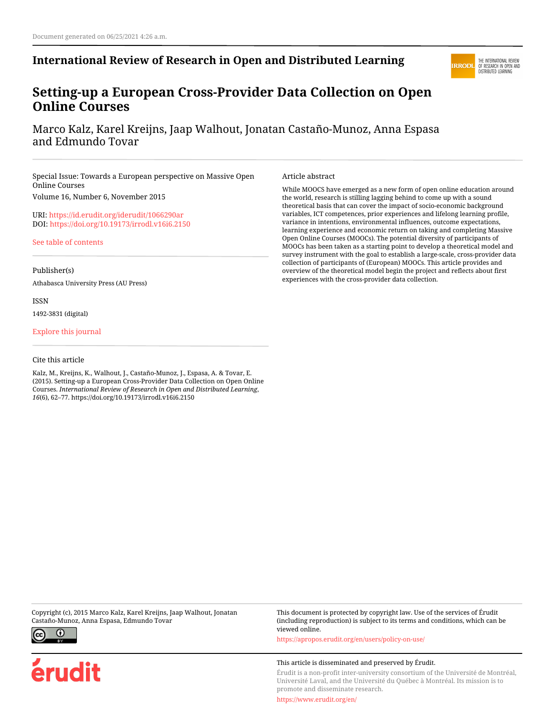#### **International Review of Research in Open and Distributed Learning**



#### **Setting-up a European Cross-Provider Data Collection on Open Online Courses**

Marco Kalz, Karel Kreijns, Jaap Walhout, Jonatan Castaño-Munoz, Anna Espasa and Edmundo Tovar

Special Issue: Towards a European perspective on Massive Open Online Courses

Volume 16, Number 6, November 2015

URI:<https://id.erudit.org/iderudit/1066290ar> DOI:<https://doi.org/10.19173/irrodl.v16i6.2150>

[See table of contents](https://www.erudit.org/en/journals/irrodl/2015-v16-n6-irrodl05030/)

Publisher(s)

Athabasca University Press (AU Press)

ISSN

1492-3831 (digital)

[Explore this journal](https://www.erudit.org/en/journals/irrodl/)

#### Cite this article

Kalz, M., Kreijns, K., Walhout, J., Castaño-Munoz, J., Espasa, A. & Tovar, E. (2015). Setting-up a European Cross-Provider Data Collection on Open Online Courses. *International Review of Research in Open and Distributed Learning*, *16*(6), 62–77. https://doi.org/10.19173/irrodl.v16i6.2150

Article abstract

While MOOCS have emerged as a new form of open online education around the world, research is stilling lagging behind to come up with a sound theoretical basis that can cover the impact of socio-economic background variables, ICT competences, prior experiences and lifelong learning profile, variance in intentions, environmental influences, outcome expectations, learning experience and economic return on taking and completing Massive Open Online Courses (MOOCs). The potential diversity of participants of MOOCs has been taken as a starting point to develop a theoretical model and survey instrument with the goal to establish a large-scale, cross-provider data collection of participants of (European) MOOCs. This article provides and overview of the theoretical model begin the project and reflects about first experiences with the cross-provider data collection.

Copyright (c), 2015 Marco Kalz, Karel Kreijns, Jaap Walhout, Jonatan Castaño-Munoz, Anna Espasa, Edmundo Tovar



erudit

This document is protected by copyright law. Use of the services of Érudit (including reproduction) is subject to its terms and conditions, which can be viewed online.

<https://apropos.erudit.org/en/users/policy-on-use/>

#### This article is disseminated and preserved by Érudit.

Érudit is a non-profit inter-university consortium of the Université de Montréal, Université Laval, and the Université du Québec à Montréal. Its mission is to promote and disseminate research.

<https://www.erudit.org/en/>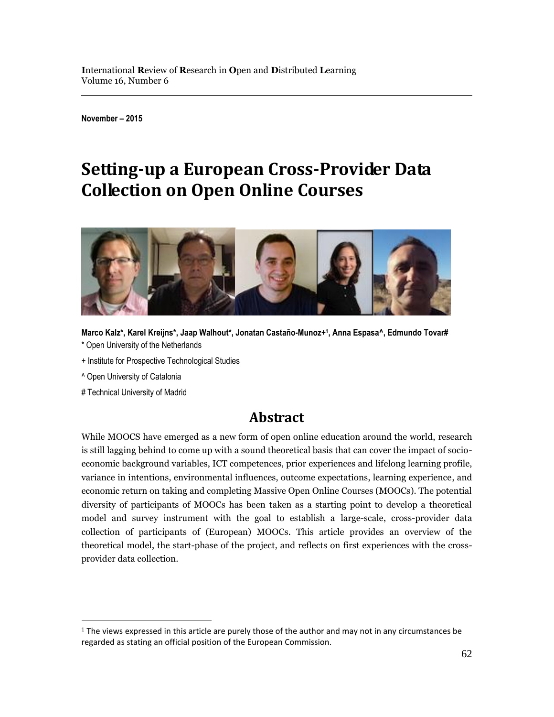**November – 2015**

# **Setting-up a European Cross-Provider Data Collection on Open Online Courses**



**Marco Kalz\*, Karel Kreijns\*, Jaap Walhout\*, Jonatan Castaño-Munoz+ 1 , Anna Espasa^, Edmundo Tovar#** \* Open University of the Netherlands

- + Institute for Prospective Technological Studies
- ^ Open University of Catalonia
- # Technical University of Madrid

 $\overline{a}$ 

### **Abstract**

While MOOCS have emerged as a new form of open online education around the world, research is still lagging behind to come up with a sound theoretical basis that can cover the impact of socioeconomic background variables, ICT competences, prior experiences and lifelong learning profile, variance in intentions, environmental influences, outcome expectations, learning experience, and economic return on taking and completing Massive Open Online Courses (MOOCs). The potential diversity of participants of MOOCs has been taken as a starting point to develop a theoretical model and survey instrument with the goal to establish a large-scale, cross-provider data collection of participants of (European) MOOCs. This article provides an overview of the theoretical model, the start-phase of the project, and reflects on first experiences with the crossprovider data collection.

 $1$  The views expressed in this article are purely those of the author and may not in any circumstances be regarded as stating an official position of the European Commission.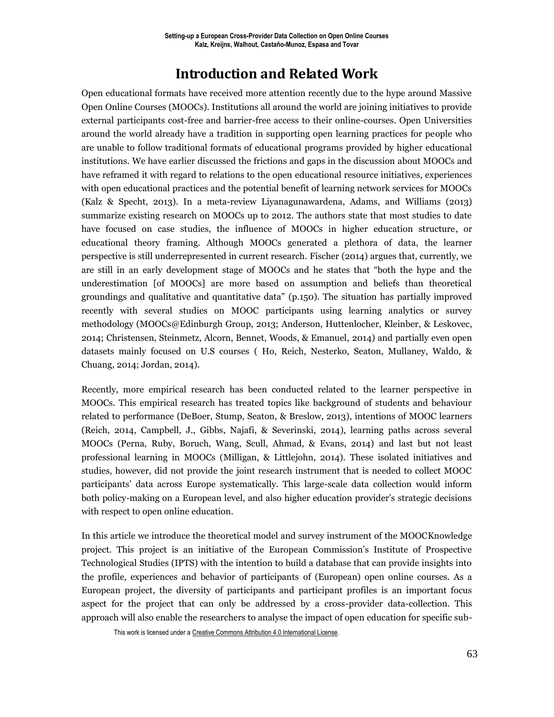## **Introduction and Related Work**

Open educational formats have received more attention recently due to the hype around Massive Open Online Courses (MOOCs). Institutions all around the world are joining initiatives to provide external participants cost-free and barrier-free access to their online-courses. Open Universities around the world already have a tradition in supporting open learning practices for people who are unable to follow traditional formats of educational programs provided by higher educational institutions. We have earlier discussed the frictions and gaps in the discussion about MOOCs and have reframed it with regard to relations to the open educational resource initiatives, experiences with open educational practices and the potential benefit of learning network services for MOOCs (Kalz & Specht, 2013). In a meta-review Liyanagunawardena, Adams, and Williams (2013) summarize existing research on MOOCs up to 2012. The authors state that most studies to date have focused on case studies, the influence of MOOCs in higher education structure, or educational theory framing. Although MOOCs generated a plethora of data, the learner perspective is still underrepresented in current research. Fischer (2014) argues that, currently, we are still in an early development stage of MOOCs and he states that "both the hype and the underestimation [of MOOCs] are more based on assumption and beliefs than theoretical groundings and qualitative and quantitative data" (p.150). The situation has partially improved recently with several studies on MOOC participants using learning analytics or survey methodology (MOOCs@Edinburgh Group, 2013; Anderson, Huttenlocher, Kleinber, & Leskovec, 2014; Christensen, Steinmetz, Alcorn, Bennet, Woods, & Emanuel, 2014) and partially even open datasets mainly focused on U.S courses ( Ho, Reich, Nesterko, Seaton, Mullaney, Waldo, & Chuang, 2014; Jordan, 2014).

Recently, more empirical research has been conducted related to the learner perspective in MOOCs. This empirical research has treated topics like background of students and behaviour related to performance (DeBoer, Stump, Seaton, & Breslow, 2013), intentions of MOOC learners (Reich, 2014, Campbell, J., Gibbs, Najafi, & Severinski, 2014), learning paths across several MOOCs (Perna, Ruby, Boruch, Wang, Scull, Ahmad, & Evans, 2014) and last but not least professional learning in MOOCs (Milligan, & Littlejohn, 2014). These isolated initiatives and studies, however, did not provide the joint research instrument that is needed to collect MOOC participants' data across Europe systematically. This large-scale data collection would inform both policy-making on a European level, and also higher education provider's strategic decisions with respect to open online education.

In this article we introduce the theoretical model and survey instrument of the MOOCKnowledge project. This project is an initiative of the European Commission's Institute of Prospective Technological Studies (IPTS) with the intention to build a database that can provide insights into the profile, experiences and behavior of participants of (European) open online courses. As a European project, the diversity of participants and participant profiles is an important focus aspect for the project that can only be addressed by a cross-provider data-collection. This approach will also enable the researchers to analyse the impact of open education for specific sub-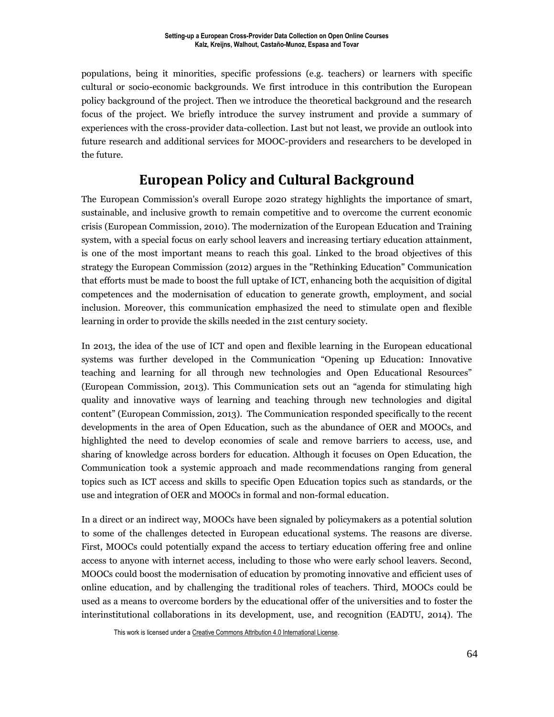populations, being it minorities, specific professions (e.g. teachers) or learners with specific cultural or socio-economic backgrounds. We first introduce in this contribution the European policy background of the project. Then we introduce the theoretical background and the research focus of the project. We briefly introduce the survey instrument and provide a summary of experiences with the cross-provider data-collection. Last but not least, we provide an outlook into future research and additional services for MOOC-providers and researchers to be developed in the future.

# **European Policy and Cultural Background**

The European Commission's overall Europe 2020 strategy highlights the importance of smart, sustainable, and inclusive growth to remain competitive and to overcome the current economic crisis (European Commission, 2010). The modernization of the European Education and Training system, with a special focus on early school leavers and increasing tertiary education attainment, is one of the most important means to reach this goal. Linked to the broad objectives of this strategy the European Commission (2012) argues in the "Rethinking Education" Communication that efforts must be made to boost the full uptake of ICT, enhancing both the acquisition of digital competences and the modernisation of education to generate growth, employment, and social inclusion. Moreover, this communication emphasized the need to stimulate open and flexible learning in order to provide the skills needed in the 21st century society.

In 2013, the idea of the use of ICT and open and flexible learning in the European educational systems was further developed in the Communication "Opening up Education: Innovative teaching and learning for all through new technologies and Open Educational Resources" (European Commission, 2013). This Communication sets out an "agenda for stimulating high quality and innovative ways of learning and teaching through new technologies and digital content" (European Commission, 2013). The Communication responded specifically to the recent developments in the area of Open Education, such as the abundance of OER and MOOCs, and highlighted the need to develop economies of scale and remove barriers to access, use, and sharing of knowledge across borders for education. Although it focuses on Open Education, the Communication took a systemic approach and made recommendations ranging from general topics such as ICT access and skills to specific Open Education topics such as standards, or the use and integration of OER and MOOCs in formal and non-formal education.

In a direct or an indirect way, MOOCs have been signaled by policymakers as a potential solution to some of the challenges detected in European educational systems. The reasons are diverse. First, MOOCs could potentially expand the access to tertiary education offering free and online access to anyone with internet access, including to those who were early school leavers. Second, MOOCs could boost the modernisation of education by promoting innovative and efficient uses of online education, and by challenging the traditional roles of teachers. Third, MOOCs could be used as a means to overcome borders by the educational offer of the universities and to foster the interinstitutional collaborations in its development, use, and recognition (EADTU, 2014). The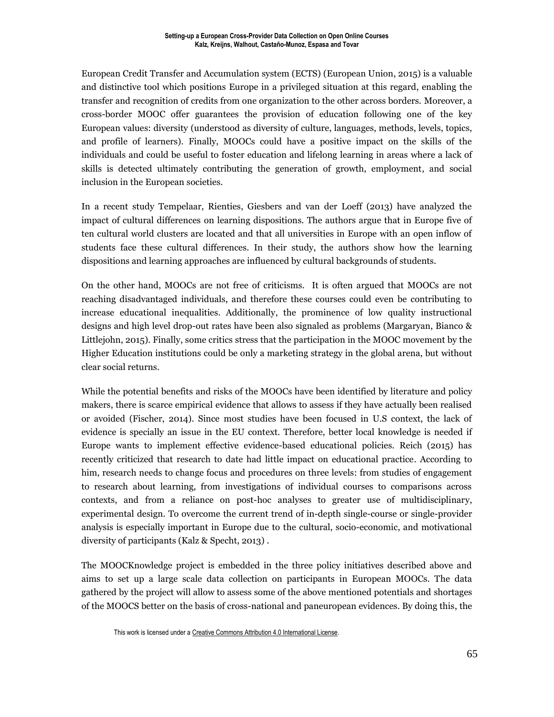European Credit Transfer and Accumulation system (ECTS) (European Union, 2015) is a valuable and distinctive tool which positions Europe in a privileged situation at this regard, enabling the transfer and recognition of credits from one organization to the other across borders. Moreover, a cross-border MOOC offer guarantees the provision of education following one of the key European values: diversity (understood as diversity of culture, languages, methods, levels, topics, and profile of learners). Finally, MOOCs could have a positive impact on the skills of the individuals and could be useful to foster education and lifelong learning in areas where a lack of skills is detected ultimately contributing the generation of growth, employment, and social inclusion in the European societies.

In a recent study Tempelaar, Rienties, Giesbers and van der Loeff (2013) have analyzed the impact of cultural differences on learning dispositions. The authors argue that in Europe five of ten cultural world clusters are located and that all universities in Europe with an open inflow of students face these cultural differences. In their study, the authors show how the learning dispositions and learning approaches are influenced by cultural backgrounds of students.

On the other hand, MOOCs are not free of criticisms. It is often argued that MOOCs are not reaching disadvantaged individuals, and therefore these courses could even be contributing to increase educational inequalities. Additionally, the prominence of low quality instructional designs and high level drop-out rates have been also signaled as problems (Margaryan, Bianco & Littlejohn, 2015). Finally, some critics stress that the participation in the MOOC movement by the Higher Education institutions could be only a marketing strategy in the global arena, but without clear social returns.

While the potential benefits and risks of the MOOCs have been identified by literature and policy makers, there is scarce empirical evidence that allows to assess if they have actually been realised or avoided (Fischer, 2014). Since most studies have been focused in U.S context, the lack of evidence is specially an issue in the EU context. Therefore, better local knowledge is needed if Europe wants to implement effective evidence-based educational policies. Reich (2015) has recently criticized that research to date had little impact on educational practice. According to him, research needs to change focus and procedures on three levels: from studies of engagement to research about learning, from investigations of individual courses to comparisons across contexts, and from a reliance on post-hoc analyses to greater use of multidisciplinary, experimental design. To overcome the current trend of in-depth single-course or single-provider analysis is especially important in Europe due to the cultural, socio-economic, and motivational diversity of participants (Kalz & Specht, 2013) .

The MOOCKnowledge project is embedded in the three policy initiatives described above and aims to set up a large scale data collection on participants in European MOOCs. The data gathered by the project will allow to assess some of the above mentioned potentials and shortages of the MOOCS better on the basis of cross-national and paneuropean evidences. By doing this, the

This work is licensed under [a Creative Commons Attribution 4.0 International License.](http://creativecommons.org/licenses/by/4.0/)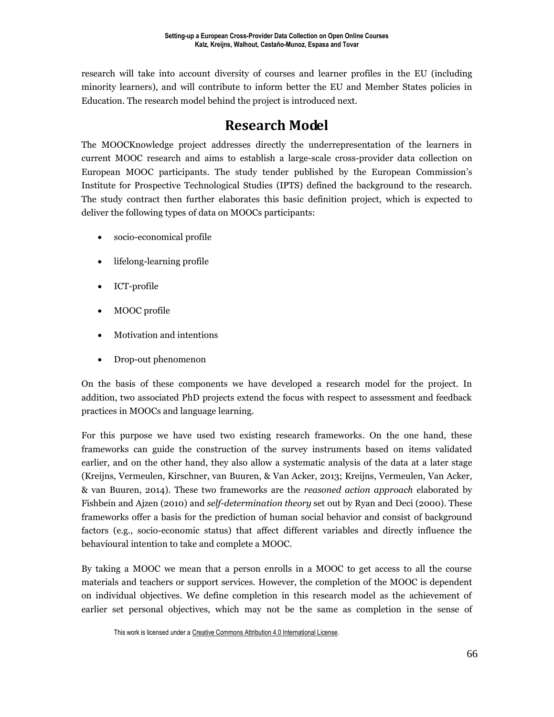research will take into account diversity of courses and learner profiles in the EU (including minority learners), and will contribute to inform better the EU and Member States policies in Education. The research model behind the project is introduced next.

# **Research Model**

The MOOCKnowledge project addresses directly the underrepresentation of the learners in current MOOC research and aims to establish a large-scale cross-provider data collection on European MOOC participants. The study tender published by the European Commission's Institute for Prospective Technological Studies (IPTS) defined the background to the research. The study contract then further elaborates this basic definition project, which is expected to deliver the following types of data on MOOCs participants:

- socio-economical profile
- lifelong-learning profile
- ICT-profile
- MOOC profile
- Motivation and intentions
- Drop-out phenomenon

On the basis of these components we have developed a research model for the project. In addition, two associated PhD projects extend the focus with respect to assessment and feedback practices in MOOCs and language learning.

For this purpose we have used two existing research frameworks. On the one hand, these frameworks can guide the construction of the survey instruments based on items validated earlier, and on the other hand, they also allow a systematic analysis of the data at a later stage (Kreijns, Vermeulen, Kirschner, van Buuren, & Van Acker, 2013; Kreijns, Vermeulen, Van Acker, & van Buuren, 2014). These two frameworks are the *reasoned action approach* elaborated by Fishbein and Ajzen (2010) and *self-determination theory* set out by Ryan and Deci (2000). These frameworks offer a basis for the prediction of human social behavior and consist of background factors (e.g., socio-economic status) that affect different variables and directly influence the behavioural intention to take and complete a MOOC.

By taking a MOOC we mean that a person enrolls in a MOOC to get access to all the course materials and teachers or support services. However, the completion of the MOOC is dependent on individual objectives. We define completion in this research model as the achievement of earlier set personal objectives, which may not be the same as completion in the sense of

This work is licensed under [a Creative Commons Attribution 4.0 International License.](http://creativecommons.org/licenses/by/4.0/)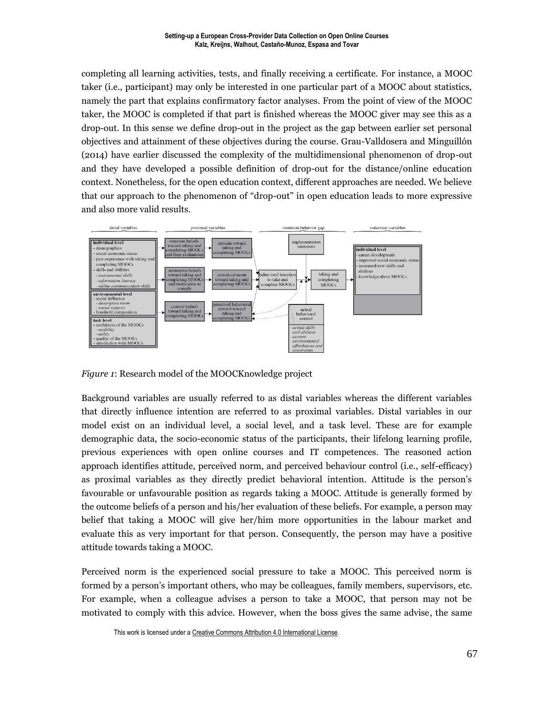completing all learning activities, tests, and finally receiving a certificate. For instance, a MOOC taker (i.e., participant) may only be interested in one particular part of a MOOC about statistics, namely the part that explains confirmatory factor analyses. From the point of view of the MOOC taker, the MOOC is completed if that part is finished whereas the MOOC giver may see this as a drop-out. In this sense we define drop-out in the project as the gap between earlier set personal objectives and attainment of these objectives during the course. Grau-Valldosera and Minguillón (2014) have earlier discussed the complexity of the multidimensional phenomenon of drop-out and they have developed a possible definition of drop-out for the distance/online education context. Nonetheless, for the open education context, different approaches are needed. We believe that our approach to the phenomenon of "drop-out" in open education leads to more expressive and also more valid results.



*Figure 1*: Research model of the MOOCKnowledge project

Background variables are usually referred to as distal variables whereas the different variables that directly influence intention are referred to as proximal variables. Distal variables in our model exist on an individual level, a social level, and a task level. These are for example demographic data, the socio-economic status of the participants, their lifelong learning profile, previous experiences with open online courses and IT competences. The reasoned action approach identifies attitude, perceived norm, and perceived behaviour control (i.e., self-efficacy) as proximal variables as they directly predict behavioral intention. Attitude is the person's favourable or unfavourable position as regards taking a MOOC. Attitude is generally formed by the outcome beliefs of a person and his/her evaluation of these beliefs. For example, a person may belief that taking a MOOC will give her/him more opportunities in the labour market and evaluate this as very important for that person. Consequently, the person may have a positive attitude towards taking a MOOC.

Perceived norm is the experienced social pressure to take a MOOC. This perceived norm is formed by a person's important others, who may be colleagues, family members, supervisors, etc. For example, when a colleague advises a person to take a MOOC, that person may not be motivated to comply with this advice. However, when the boss gives the same advise, the same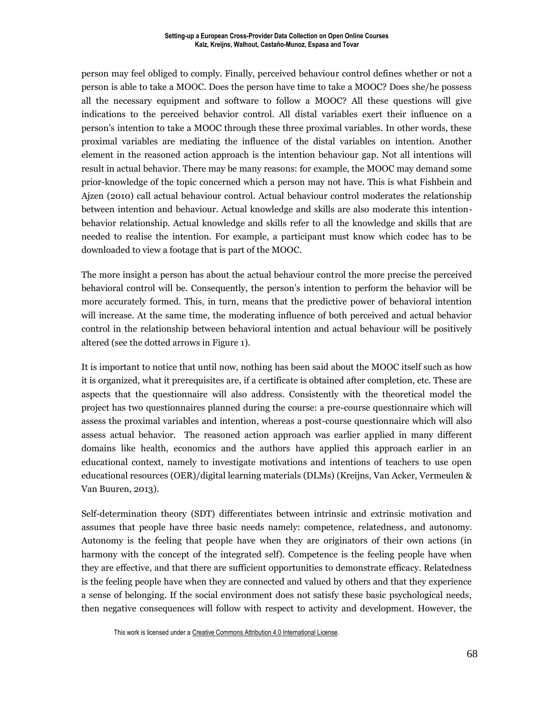person may feel obliged to comply. Finally, perceived behaviour control defines whether or not a person is able to take a MOOC. Does the person have time to take a MOOC? Does she/he possess all the necessary equipment and software to follow a MOOC? All these questions will give indications to the perceived behavior control. All distal variables exert their influence on a person's intention to take a MOOC through these three proximal variables. In other words, these proximal variables are mediating the influence of the distal variables on intention. Another element in the reasoned action approach is the intention behaviour gap. Not all intentions will result in actual behavior. There may be many reasons: for example, the MOOC may demand some prior-knowledge of the topic concerned which a person may not have. This is what Fishbein and Ajzen (2010) call actual behaviour control. Actual behaviour control moderates the relationship between intention and behaviour. Actual knowledge and skills are also moderate this intentionbehavior relationship. Actual knowledge and skills refer to all the knowledge and skills that are needed to realise the intention. For example, a participant must know which codec has to be downloaded to view a footage that is part of the MOOC.

The more insight a person has about the actual behaviour control the more precise the perceived behavioral control will be. Consequently, the person's intention to perform the behavior will be more accurately formed. This, in turn, means that the predictive power of behavioral intention will increase. At the same time, the moderating influence of both perceived and actual behavior control in the relationship between behavioral intention and actual behaviour will be positively altered (see the dotted arrows in Figure 1).

It is important to notice that until now, nothing has been said about the MOOC itself such as how it is organized, what it prerequisites are, if a certificate is obtained after completion, etc. These are aspects that the questionnaire will also address. Consistently with the theoretical model the project has two questionnaires planned during the course: a pre-course questionnaire which will assess the proximal variables and intention, whereas a post-course questionnaire which will also assess actual behavior. The reasoned action approach was earlier applied in many different domains like health, economics and the authors have applied this approach earlier in an educational context, namely to investigate motivations and intentions of teachers to use open educational resources (OER)/digital learning materials (DLMs) (Kreijns, Van Acker, Vermeulen & Van Buuren, 2013).

Self-determination theory (SDT) differentiates between intrinsic and extrinsic motivation and assumes that people have three basic needs namely: competence, relatedness, and autonomy. Autonomy is the feeling that people have when they are originators of their own actions (in harmony with the concept of the integrated self). Competence is the feeling people have when they are effective, and that there are sufficient opportunities to demonstrate efficacy. Relatedness is the feeling people have when they are connected and valued by others and that they experience a sense of belonging. If the social environment does not satisfy these basic psychological needs, then negative consequences will follow with respect to activity and development. However, the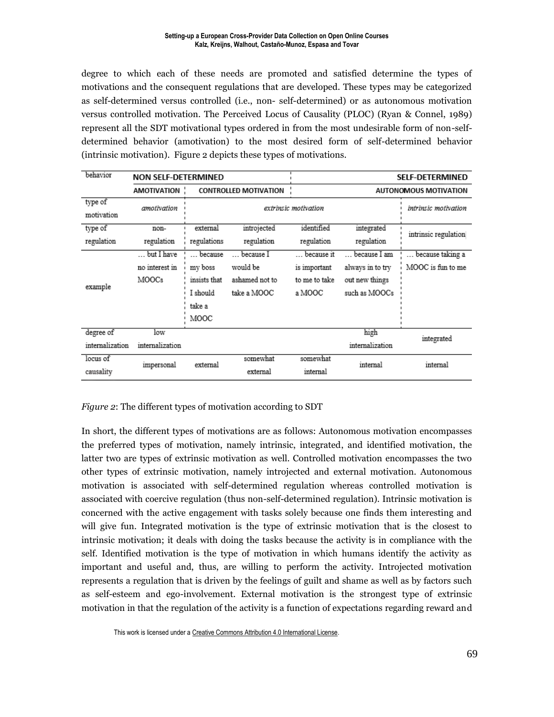#### **Setting-up a European Cross-Provider Data Collection on Open Online Courses Kalz, Kreijns, Walhout, Castaño-Munoz, Espasa and Tovar**

degree to which each of these needs are promoted and satisfied determine the types of motivations and the consequent regulations that are developed. These types may be categorized as self-determined versus controlled (i.e., non- self-determined) or as autonomous motivation versus controlled motivation. The Perceived Locus of Causality (PLOC) (Ryan & Connel, 1989) represent all the SDT motivational types ordered in from the most undesirable form of non-selfdetermined behavior (amotivation) to the most desired form of self-determined behavior (intrinsic motivation). Figure 2 depicts these types of motivations.

| behavior              | <b>NON SELF-DETERMINED</b> |              |                              | <b>SELF-DETERMINED</b>       |                  |                      |  |
|-----------------------|----------------------------|--------------|------------------------------|------------------------------|------------------|----------------------|--|
|                       | AMOTIVATION                |              | <b>CONTROLLED MOTIVATION</b> | <b>AUTONOMOUS MOTIVATION</b> |                  |                      |  |
| type of<br>motivation | amotivation                |              | intrinsic motivation         |                              |                  |                      |  |
| type of               | non-                       | external     | introjected                  | identified                   | integrated       | intrinsic regulation |  |
| regulation            | regulation                 | regulations  | regulation                   | regulation                   | regulation       |                      |  |
| example               | but I have                 | because      | because I                    | because it                   | because I am     | because taking a     |  |
|                       | no interest in             | my boss      | would be                     | is important                 | always in to try | MOOC is fun to me    |  |
|                       | MOOCs                      | insists that | ashamed not to               | to me to take                | out new things   |                      |  |
|                       |                            | I should     | take a MOOC                  | a MOOC                       | such as MOOCs    |                      |  |
|                       |                            | take a       |                              |                              |                  |                      |  |
|                       |                            | MOOC         |                              |                              |                  |                      |  |
| degree of             | low                        |              |                              |                              | high             | integrated           |  |
| internalization       | internalization            |              |                              |                              | internalization  |                      |  |
| locus of              | impersonal                 | external     | somewhat                     | somewhat                     | internal         | internal             |  |
| causality             |                            |              | external                     | internal                     |                  |                      |  |

#### *Figure 2*: The different types of motivation according to SDT

In short, the different types of motivations are as follows: Autonomous motivation encompasses the preferred types of motivation, namely intrinsic, integrated, and identified motivation, the latter two are types of extrinsic motivation as well. Controlled motivation encompasses the two other types of extrinsic motivation, namely introjected and external motivation. Autonomous motivation is associated with self-determined regulation whereas controlled motivation is associated with coercive regulation (thus non-self-determined regulation). Intrinsic motivation is concerned with the active engagement with tasks solely because one finds them interesting and will give fun. Integrated motivation is the type of extrinsic motivation that is the closest to intrinsic motivation; it deals with doing the tasks because the activity is in compliance with the self. Identified motivation is the type of motivation in which humans identify the activity as important and useful and, thus, are willing to perform the activity. Introjected motivation represents a regulation that is driven by the feelings of guilt and shame as well as by factors such as self-esteem and ego-involvement. External motivation is the strongest type of extrinsic motivation in that the regulation of the activity is a function of expectations regarding reward and

This work is licensed under [a Creative Commons Attribution 4.0 International License.](http://creativecommons.org/licenses/by/4.0/)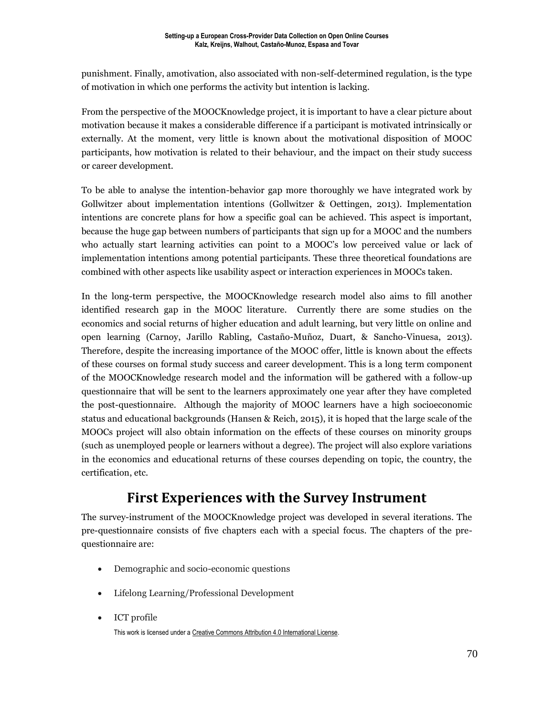punishment. Finally, amotivation, also associated with non-self-determined regulation, is the type of motivation in which one performs the activity but intention is lacking.

From the perspective of the MOOCKnowledge project, it is important to have a clear picture about motivation because it makes a considerable difference if a participant is motivated intrinsically or externally. At the moment, very little is known about the motivational disposition of MOOC participants, how motivation is related to their behaviour, and the impact on their study success or career development.

To be able to analyse the intention-behavior gap more thoroughly we have integrated work by Gollwitzer about implementation intentions (Gollwitzer & Oettingen, 2013). Implementation intentions are concrete plans for how a specific goal can be achieved. This aspect is important, because the huge gap between numbers of participants that sign up for a MOOC and the numbers who actually start learning activities can point to a MOOC's low perceived value or lack of implementation intentions among potential participants. These three theoretical foundations are combined with other aspects like usability aspect or interaction experiences in MOOCs taken.

In the long-term perspective, the MOOCKnowledge research model also aims to fill another identified research gap in the MOOC literature. Currently there are some studies on the economics and social returns of higher education and adult learning, but very little on online and open learning (Carnoy, Jarillo Rabling, Castaño-Muñoz, Duart, & Sancho-Vinuesa, 2013). Therefore, despite the increasing importance of the MOOC offer, little is known about the effects of these courses on formal study success and career development. This is a long term component of the MOOCKnowledge research model and the information will be gathered with a follow-up questionnaire that will be sent to the learners approximately one year after they have completed the post-questionnaire. Although the majority of MOOC learners have a high socioeconomic status and educational backgrounds (Hansen & Reich, 2015), it is hoped that the large scale of the MOOCs project will also obtain information on the effects of these courses on minority groups (such as unemployed people or learners without a degree). The project will also explore variations in the economics and educational returns of these courses depending on topic, the country, the certification, etc.

## **First Experiences with the Survey Instrument**

The survey-instrument of the MOOCKnowledge project was developed in several iterations. The pre-questionnaire consists of five chapters each with a special focus. The chapters of the prequestionnaire are:

- Demographic and socio-economic questions
- Lifelong Learning/Professional Development
- ICT profile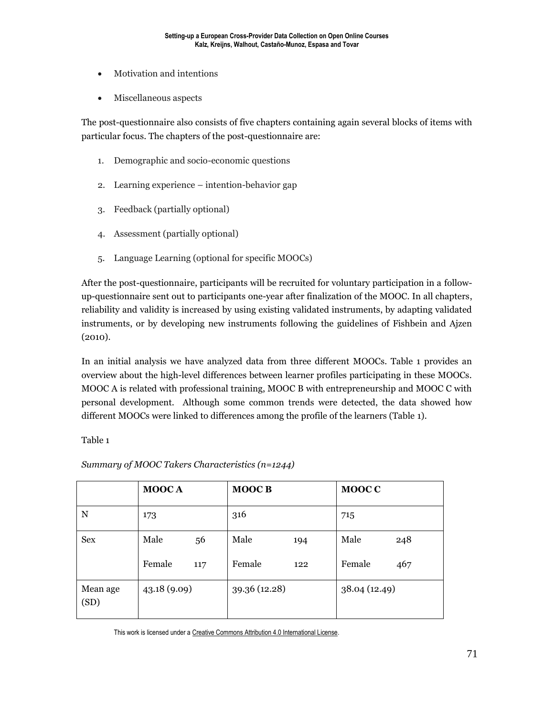- Motivation and intentions
- Miscellaneous aspects

The post-questionnaire also consists of five chapters containing again several blocks of items with particular focus. The chapters of the post-questionnaire are:

- 1. Demographic and socio-economic questions
- 2. Learning experience intention-behavior gap
- 3. Feedback (partially optional)
- 4. Assessment (partially optional)
- 5. Language Learning (optional for specific MOOCs)

After the post-questionnaire, participants will be recruited for voluntary participation in a followup-questionnaire sent out to participants one-year after finalization of the MOOC. In all chapters, reliability and validity is increased by using existing validated instruments, by adapting validated instruments, or by developing new instruments following the guidelines of Fishbein and Ajzen (2010).

In an initial analysis we have analyzed data from three different MOOCs. Table 1 provides an overview about the high-level differences between learner profiles participating in these MOOCs. MOOC A is related with professional training, MOOC B with entrepreneurship and MOOC C with personal development. Although some common trends were detected, the data showed how different MOOCs were linked to differences among the profile of the learners (Table 1).

Table 1

|                  | MOOC A      |     | <b>MOOCB</b>  |     | MOOC C        |     |
|------------------|-------------|-----|---------------|-----|---------------|-----|
| N                | 173         |     | 316           |     | 715           |     |
| <b>Sex</b>       | Male        | 56  | Male          | 194 | Male          | 248 |
|                  | Female      | 117 | Female        | 122 | Female        | 467 |
| Mean age<br>(SD) | 43.18(9.09) |     | 39.36 (12.28) |     | 38.04 (12.49) |     |

*Summary of MOOC Takers Characteristics (n=1244)*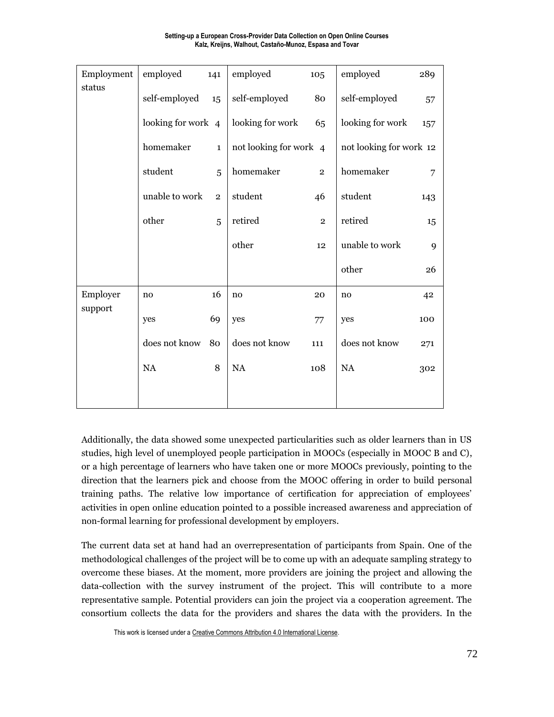**Setting-up a European Cross-Provider Data Collection on Open Online Courses Kalz, Kreijns, Walhout, Castaño-Munoz, Espasa and Tovar**

| Employment | employed           | 141            | employed               | 105          | employed                | 289            |
|------------|--------------------|----------------|------------------------|--------------|-------------------------|----------------|
| status     | self-employed      | 15             | self-employed          | 80           | self-employed           | 57             |
|            | looking for work 4 |                | looking for work       | 65           | looking for work        | 157            |
|            | homemaker          | $\mathbf{1}$   | not looking for work 4 |              | not looking for work 12 |                |
|            | student            | 5              | homemaker              | $\mathbf 2$  | homemaker               | $\overline{7}$ |
|            | unable to work     | $\overline{2}$ | student                | 46           | student                 | 143            |
|            | other              | 5              | retired                | $\mathbf{2}$ | retired                 | 15             |
|            |                    |                | other                  | 12           | unable to work          | 9              |
|            |                    |                |                        |              | other                   | 26             |
| Employer   | no                 | 16             | no                     | 20           | no                      | 42             |
| support    | yes                | 69             | yes                    | 77           | yes                     | 100            |
|            | does not know      | 80             | does not know          | 111          | does not know           | 271            |
|            | NA                 | 8              | $\rm NA$               | 108          | NA                      | 302            |
|            |                    |                |                        |              |                         |                |

Additionally, the data showed some unexpected particularities such as older learners than in US studies, high level of unemployed people participation in MOOCs (especially in MOOC B and C), or a high percentage of learners who have taken one or more MOOCs previously, pointing to the direction that the learners pick and choose from the MOOC offering in order to build personal training paths. The relative low importance of certification for appreciation of employees' activities in open online education pointed to a possible increased awareness and appreciation of non-formal learning for professional development by employers.

The current data set at hand had an overrepresentation of participants from Spain. One of the methodological challenges of the project will be to come up with an adequate sampling strategy to overcome these biases. At the moment, more providers are joining the project and allowing the data-collection with the survey instrument of the project. This will contribute to a more representative sample. Potential providers can join the project via a cooperation agreement. The consortium collects the data for the providers and shares the data with the providers. In the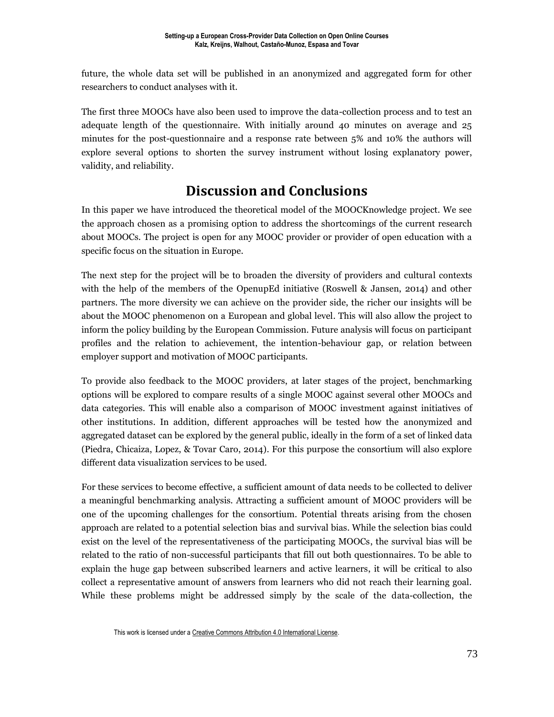future, the whole data set will be published in an anonymized and aggregated form for other researchers to conduct analyses with it.

The first three MOOCs have also been used to improve the data-collection process and to test an adequate length of the questionnaire. With initially around 40 minutes on average and 25 minutes for the post-questionnaire and a response rate between 5% and 10% the authors will explore several options to shorten the survey instrument without losing explanatory power, validity, and reliability.

# **Discussion and Conclusions**

In this paper we have introduced the theoretical model of the MOOCKnowledge project. We see the approach chosen as a promising option to address the shortcomings of the current research about MOOCs. The project is open for any MOOC provider or provider of open education with a specific focus on the situation in Europe.

The next step for the project will be to broaden the diversity of providers and cultural contexts with the help of the members of the OpenupEd initiative (Roswell & Jansen, 2014) and other partners. The more diversity we can achieve on the provider side, the richer our insights will be about the MOOC phenomenon on a European and global level. This will also allow the project to inform the policy building by the European Commission. Future analysis will focus on participant profiles and the relation to achievement, the intention-behaviour gap, or relation between employer support and motivation of MOOC participants.

To provide also feedback to the MOOC providers, at later stages of the project, benchmarking options will be explored to compare results of a single MOOC against several other MOOCs and data categories. This will enable also a comparison of MOOC investment against initiatives of other institutions. In addition, different approaches will be tested how the anonymized and aggregated dataset can be explored by the general public, ideally in the form of a set of linked data (Piedra, Chicaiza, Lopez, & Tovar Caro, 2014). For this purpose the consortium will also explore different data visualization services to be used.

For these services to become effective, a sufficient amount of data needs to be collected to deliver a meaningful benchmarking analysis. Attracting a sufficient amount of MOOC providers will be one of the upcoming challenges for the consortium. Potential threats arising from the chosen approach are related to a potential selection bias and survival bias. While the selection bias could exist on the level of the representativeness of the participating MOOCs, the survival bias will be related to the ratio of non-successful participants that fill out both questionnaires. To be able to explain the huge gap between subscribed learners and active learners, it will be critical to also collect a representative amount of answers from learners who did not reach their learning goal. While these problems might be addressed simply by the scale of the data-collection, the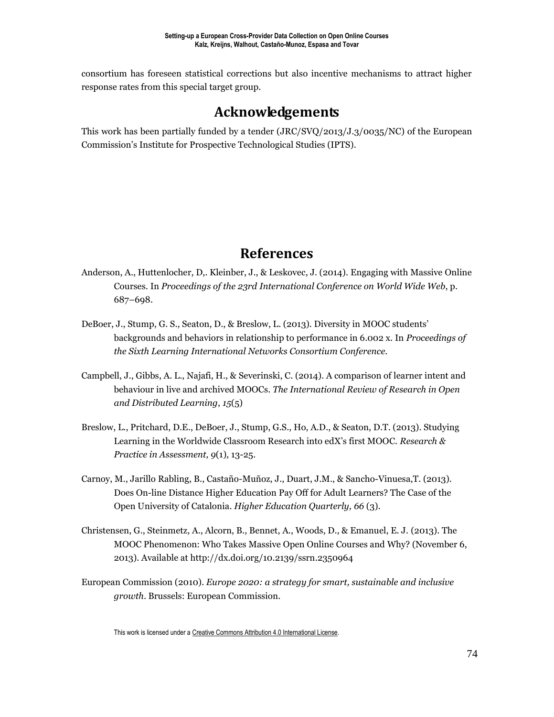consortium has foreseen statistical corrections but also incentive mechanisms to attract higher response rates from this special target group.

### **Acknowledgements**

This work has been partially funded by a tender (JRC/SVQ/2013/J.3/0035/NC) of the European Commission's Institute for Prospective Technological Studies (IPTS).

### **References**

- Anderson, A., Huttenlocher, D,. Kleinber, J., & Leskovec, J. (2014). Engaging with Massive Online Courses. In *Proceedings of the 23rd International Conference on World Wide Web*, p. 687–698.
- DeBoer, J., Stump, G. S., Seaton, D., & Breslow, L. (2013). Diversity in MOOC students' backgrounds and behaviors in relationship to performance in 6.002 x. In *Proceedings of the Sixth Learning International Networks Consortium Conference*.
- Campbell, J., Gibbs, A. L., Najafi, H., & Severinski, C. (2014). A comparison of learner intent and behaviour in live and archived MOOCs. *The International Review of Research in Open and Distributed Learning*, *15*(5)
- Breslow, L., Pritchard, D.E., DeBoer, J., Stump, G.S., Ho, A.D., & Seaton, D.T. (2013). Studying Learning in the Worldwide Classroom Research into edX's first MOOC. *Research & Practice in Assessment, 9*(1)*,* 13-25.
- Carnoy, M., Jarillo Rabling, B., Castaño-Muñoz, J., Duart, J.M., & Sancho-Vinuesa,T. (2013). Does On-line Distance Higher Education Pay Off for Adult Learners? The Case of the Open University of Catalonia. *Higher Education Quarterly, 66* (3).
- Christensen, G., Steinmetz, A., Alcorn, B., Bennet, A., Woods, D., & Emanuel, E. J. (2013). The MOOC Phenomenon: Who Takes Massive Open Online Courses and Why? (November 6, 2013). Available a[t http://dx.doi.org/10.2139/ssrn.2350964](http://dx.doi.org/10.2139/ssrn.2350964)
- European Commission (2010). *Europe 2020: a strategy for smart, sustainable and inclusive growth*. Brussels: European Commission.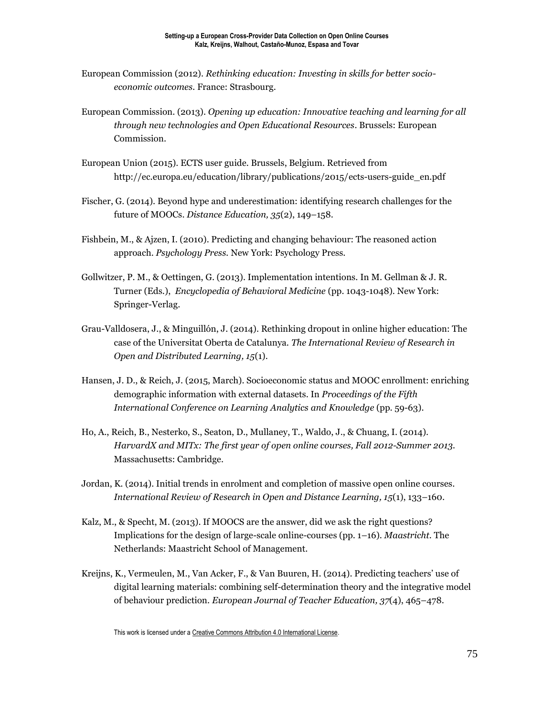- European Commission (2012). *Rethinking education: Investing in skills for better socioeconomic outcomes.* France: Strasbourg.
- European Commission. (2013). *Opening up education: Innovative teaching and learning for all through new technologies and Open Educational Resources*. Brussels: European Commission.
- European Union (2015). ECTS user guide. Brussels, Belgium. Retrieved from http://ec.europa.eu/education/library/publications/2015/ects-users-guide\_en.pdf
- Fischer, G. (2014). Beyond hype and underestimation: identifying research challenges for the future of MOOCs. *Distance Education, 35*(2), 149–158.
- Fishbein, M., & Ajzen, I. (2010). Predicting and changing behaviour: The reasoned action approach. *Psychology Press.* New York: Psychology Press.
- Gollwitzer, P. M., & Oettingen, G. (2013). Implementation intentions. In M. Gellman & J. R. Turner (Eds.), *Encyclopedia of Behavioral Medicine* (pp. 1043-1048). New York: Springer-Verlag.
- Grau-Valldosera, J., & Minguillón, J. (2014). Rethinking dropout in online higher education: The case of the Universitat Oberta de Catalunya. *The International Review of Research in Open and Distributed Learning, 15*(1).
- Hansen, J. D., & Reich, J. (2015, March). Socioeconomic status and MOOC enrollment: enriching demographic information with external datasets. In *Proceedings of the Fifth International Conference on Learning Analytics and Knowledge* (pp. 59-63).
- Ho, A., Reich, B., Nesterko, S., Seaton, D., Mullaney, T., Waldo, J., & Chuang, I. (2014). *HarvardX and MITx: The first year of open online courses, Fall 2012-Summer 2013.*  Massachusetts: Cambridge.
- Jordan, K. (2014). Initial trends in enrolment and completion of massive open online courses. *International Review of Research in Open and Distance Learning, 15*(1), 133–160.
- Kalz, M., & Specht, M. (2013). If MOOCS are the answer, did we ask the right questions? Implications for the design of large-scale online-courses (pp. 1–16). *Maastricht.* The Netherlands: Maastricht School of Management.
- Kreijns, K., Vermeulen, M., Van Acker, F., & Van Buuren, H. (2014). Predicting teachers' use of digital learning materials: combining self-determination theory and the integrative model of behaviour prediction. *European Journal of Teacher Education, 37*(4), 465–478.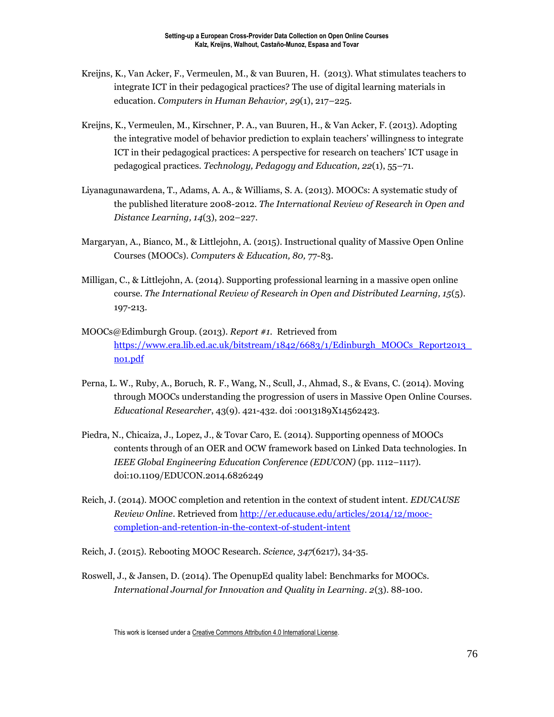- Kreijns, K., Van Acker, F., Vermeulen, M., & van Buuren, H. (2013). What stimulates teachers to integrate ICT in their pedagogical practices? The use of digital learning materials in education. *Computers in Human Behavior, 29*(1), 217–225.
- Kreijns, K., Vermeulen, M., Kirschner, P. A., van Buuren, H., & Van Acker, F. (2013). Adopting the integrative model of behavior prediction to explain teachers' willingness to integrate ICT in their pedagogical practices: A perspective for research on teachers' ICT usage in pedagogical practices. *Technology, Pedagogy and Education, 22*(1), 55–71.
- Liyanagunawardena, T., Adams, A. A., & Williams, S. A. (2013). MOOCs: A systematic study of the published literature 2008-2012. *The International Review of Research in Open and Distance Learning, 14*(3), 202–227.
- Margaryan, A., Bianco, M., & Littlejohn, A. (2015). Instructional quality of Massive Open Online Courses (MOOCs). *Computers & Education, 80,* 77-83.
- Milligan, C., & Littlejohn, A. (2014). Supporting professional learning in a massive open online course. *The International Review of Research in Open and Distributed Learning, 15*(5). 197-213.
- MOOCs@Edimburgh Group. (2013). *Report #1.* Retrieved from https://www.era.lib.ed.ac.uk/bitstream/1842/6683/1/Edinburgh\_MOOCs\_Report2013 [no1.pdf](https://www.era.lib.ed.ac.uk/bitstream/1842/6683/1/Edinburgh_MOOCs_Report2013_no1.pdf)
- Perna, L. W., Ruby, A., Boruch, R. F., Wang, N., Scull, J., Ahmad, S., & Evans, C. (2014). Moving through MOOCs understanding the progression of users in Massive Open Online Courses. *Educational Researcher*, 43(9). 421-432. doi :0013189X14562423.
- Piedra, N., Chicaiza, J., Lopez, J., & Tovar Caro, E. (2014). Supporting openness of MOOCs contents through of an OER and OCW framework based on Linked Data technologies. In *IEEE Global Engineering Education Conference (EDUCON)* (pp. 1112–1117). doi:10.1109/EDUCON.2014.6826249
- Reich, J. (2014). MOOC completion and retention in the context of student intent. *EDUCAUSE Review Online*. Retrieved from [http://er.educause.edu/articles/2014/12/mooc](http://er.educause.edu/articles/2014/12/mooc-completion-and-retention-in-the-context-of-student-intent)[completion-and-retention-in-the-context-of-student-intent](http://er.educause.edu/articles/2014/12/mooc-completion-and-retention-in-the-context-of-student-intent)
- Reich, J. (2015). Rebooting MOOC Research. *Science, 347*(6217), 34-35.
- Roswell, J., & Jansen, D. (2014). The OpenupEd quality label: Benchmarks for MOOCs. *International Journal for Innovation and Quality in Learning. 2*(3). 88-100.